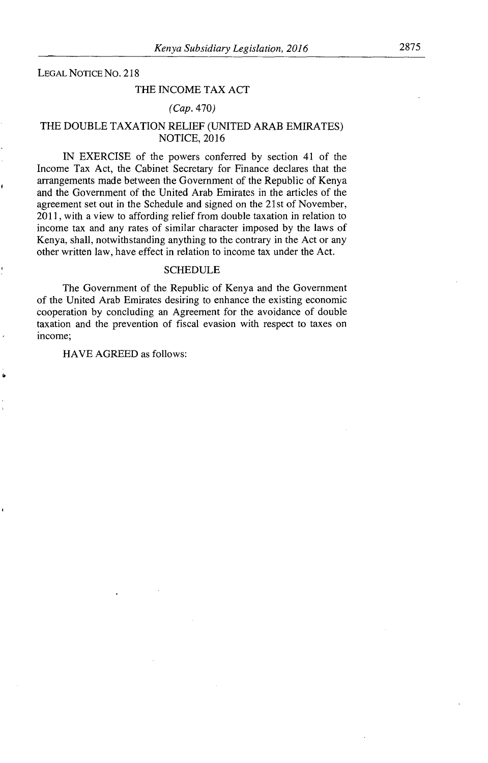LEGAL NOTICE NO. 218

### THE INCOME TAX ACT

### *(Cap.* 470)

# THE DOUBLE TAXATION RELIEF (UNITED ARAB EMIRATES) NOTICE, 2016

IN EXERCISE of the powers conferred by section 41 of the Income Tax Act, the Cabinet Secretary for Finance declares that the arrangements made between the Government of the Republic of Kenya and the Government of the United Arab Emirates in the articles of the agreement set out in the Schedule and signed on the 21st of November, 2011, with a view to affording relief from double taxation in relation to income tax and any rates of similar character imposed by the laws of Kenya, shall, notwithstanding anything to the contrary in the Act or any other written law, have effect in relation to income tax under the Act.

# SCHEDULE

The Government of the Republic of Kenya and the Government of the United Arab Emirates desiring to enhance the existing economic cooperation by concluding an Agreement for the avoidance of double taxation and the prevention of fiscal evasion with respect to taxes on income;

HAVE AGREED as follows: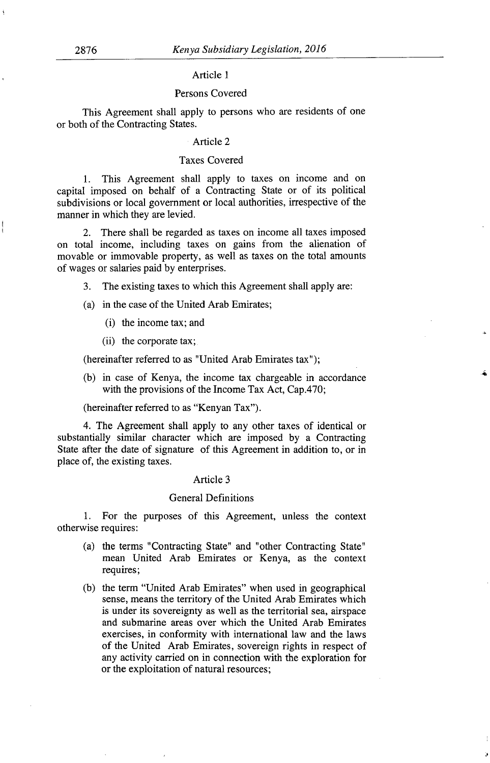#### Article 1

# Persons Covered

This Agreement shall apply to persons who are residents of one or both of the Contracting States.

# Article 2

### Taxes Covered

1. This Agreement shall apply to taxes on income and on capital imposed on behalf of a Contracting State or of its political subdivisions or local government or local authorities, irrespective of the manner in which they are levied.

2. There shall be regarded as taxes on income all taxes imposed on total income, including taxes on gains from the alienation of movable or immovable property, as well as taxes on the total amounts of wages or salaries paid by enterprises.

3. The existing taxes to which this Agreement shall apply are:

- (a) in the case of the United Arab Emirates;
	- $(i)$  the income tax; and
	- $(ii)$  the corporate tax;

(hereinafter referred to as "United Arab Emirates tax");

(b) in case of Kenya, the income tax chargeable in accordance with the provisions of the Income Tax Act, Cap.470;

(hereinafter referred to as "Kenyan Tax")

4. The Agreement shall apply to any other taxes of identical or substantially similar character which are imposed by a Contracting State after the date of signature of this Agreement in addition to, or in place of, the existing taxes.

# Article 3

### General Definitions

1. For the purposes of this Agreement, unless the context otherwise requires:

- (a) the terms "Contracting State" and "other Contracting State" mean United Arab Emirates or Kenya, as the context requires;
- (b) the term "United Arab Emirates" when used in geographical sense, means the territory of the United Arab Emirates which is under its sovereignty as well as the territorial sea, airspace and submarine areas over which the United Arab Emirates exercises, in conformity with international law and the laws of the United Arab Emirates, sovereign rights in respect of any activity carried on in connection with the exploration for or the exploitation of natural resources;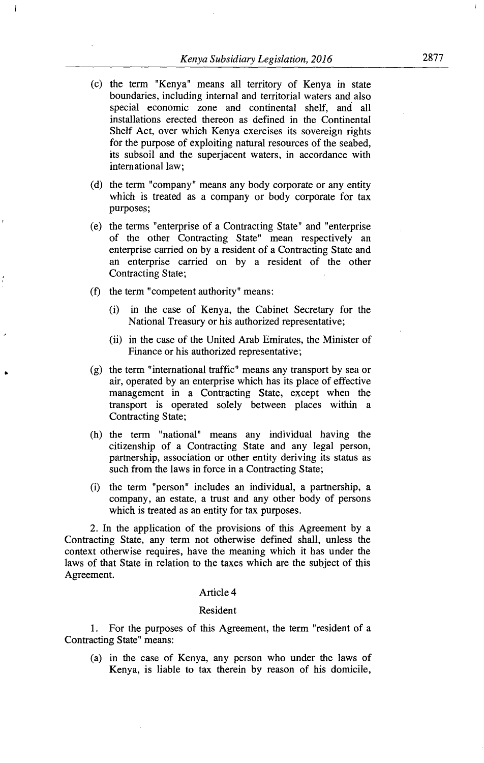- (c) the term "Kenya" means all territory of Kenya in state boundaries, including internal and territorial waters and also special economic zone and continental shelf, and all installations erected thereon as defined in the Continental Shelf Act, over which Kenya exercises its sovereign rights for the purpose of exploiting natural resources of the seabed, its subsoil and the superjacent waters, in accordance with international law;
- (d) the term "company" means any body corporate or any entity which is treated as a company or body corporate for tax purposes;
- (e) the terms "enterprise of a Contracting State" and "enterprise" of the other Contracting State" mean respectively an enterprise carried on by a resident of a Contracting State and an enterprise carried on by a resident of the other Contracting State;
- *(t)* the term "competent authority" means:

 $\overline{1}$ 

- in the case of Kenya, the Cabinet Secretary for the National Treasury or his authorized representative;
- (ii) in the case of the United Arab Emirates, the Minister of Finance or his authorized representative;
- $(g)$  the term "international traffic" means any transport by sea or air, operated by an enterprise which has its place of effective management in a Contracting State, except when the transport is operated solely between places within a Contracting State;
- (h) the term "national" means any individual having the citizenship of a Contracting State and any legal person, partnership, association or other entity deriving its status as such from the laws in force in a Contracting State;
- (i) the term "person" includes an individual, a partnership, a company, an estate, a trust and any other body of persons which is treated as an entity for tax purposes.

2. In the application of the provisions of this Agreement by a Contracting State, any term not otherwise defined shall, unless the context otherwise requires, have the meaning which it has under the laws of that State in relation to the taxes which are the subject of this Agreement.

# Article 4

#### Resident

1. For the purposes of this Agreement, the term "resident of a Contracting State" means:

(a) in the case of Kenya, any person who under the laws of Kenya, is liable to tax therein by reason of his domicile,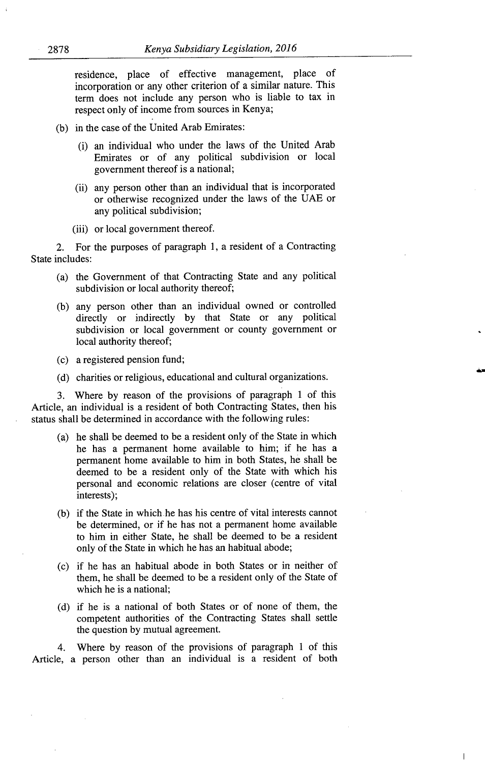residence, place of effective management, place of incorporation or any other criterion of a similar nature. This term does not include any person who is liable to tax in respect only of income from sources in Kenya;

- (b) in the case of the United Arab Emirates:
	- (i) an individual who under the laws of the United Arab Emirates or of any political subdivision or local government thereof is a national;
	- (ii) any person other than an individual that is incorporated or otherwise recognized under the laws of the UAE or any political subdivision;
	- (iii) or local government thereof.

2. For the purposes of paragraph 1, a resident of a Contracting State includes:

- (a) the Government of that Contracting State and any political subdivision or local authority thereof;
- (b) any person other than an individual owned or controlled directly or indirectly by that State or any political subdivision or local government or county government or local authority thereof;
- a registered pension fund;
- (d) charities or religious, educational and cultural organizations.

3. Where by reason of the provisions of paragraph 1 of this Article, an individual is a resident of both Contracting States, then his status shall be determined in accordance with the following rules:

- (a) he shall be deemed to be a resident only of the State in which he has a permanent home available to him; if he has a permanent home available to him in both States, he shall be deemed to be a resident only of the State with which his personal and economic relations are closer (centre of vital interests);
- (b) if the State in which he has his centre of vital interests cannot be determined, or if he has not a permanent home available to him in either State, he shall be deemed to be a resident only of the State in which he has an habitual abode;
- if he has an habitual abode in both States or in neither of them, he shall be deemed to be a resident only of the State of which he is a national;
- (d) if he is a national of both States or of none of them, the competent authorities of the Contracting States shall settle the question by mutual agreement.

 $\overline{1}$ 

4. Where by reason of the provisions of paragraph 1 of this Article, a person other than an individual is a resident of both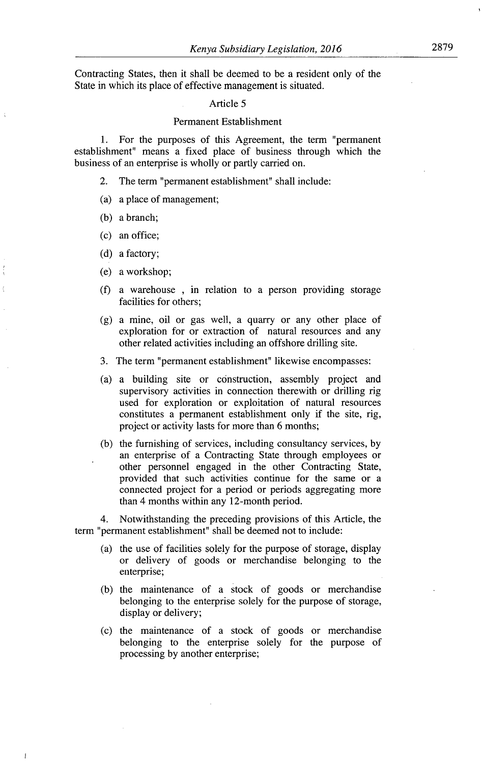Contracting States, then it shall be deemed to be a resident only of the State in which its place of effective management is situated.

#### Article 5

#### Permanent Establishment

1. For the purposes of this Agreement, the term "permanent establishment" means a fixed place of business through which the business of an enterprise is wholly or partly carried on.

- 2. The term "permanent establishment" shall include:
- (a) a place of management;
- (b) a branch;
- an office;
- (d) a factory;
- a workshop;
- $(f)$  a warehouse, in relation to a person providing storage facilities for others;
- (g) a mine, oil or gas well, a quarry or any other place of exploration for or extraction of natural resources and any other related activities including an offshore drilling site.
- 3. The term "permanent establishment" likewise encompasses:
- a building site or construction, assembly project and supervisory activities in connection therewith or drilling rig used for exploration or exploitation of natural resources constitutes a permanent establishment only if the site, rig, project or activity lasts for more than 6 months;
- (b) the furnishing of services, including consultancy services, by an enterprise of a Contracting State through employees or other personnel engaged in the other Contracting State, provided that such activities continue for the same or a connected project for a period or periods aggregating more than 4 months within any 12-month period.

4. Notwithstanding the preceding provisions of this Article, the term "permanent establishment" shall be deemed not to include:

- (a) the use of facilities solely for the purpose of storage, display or delivery of goods or merchandise belonging to the enterprise;
- (b) the maintenance of a stock of goods or merchandise belonging to the enterprise solely for the purpose of storage, display or delivery;
- (c) the maintenance of a stock of goods or merchandise belonging to the enterprise solely for the purpose of processing by another enterprise;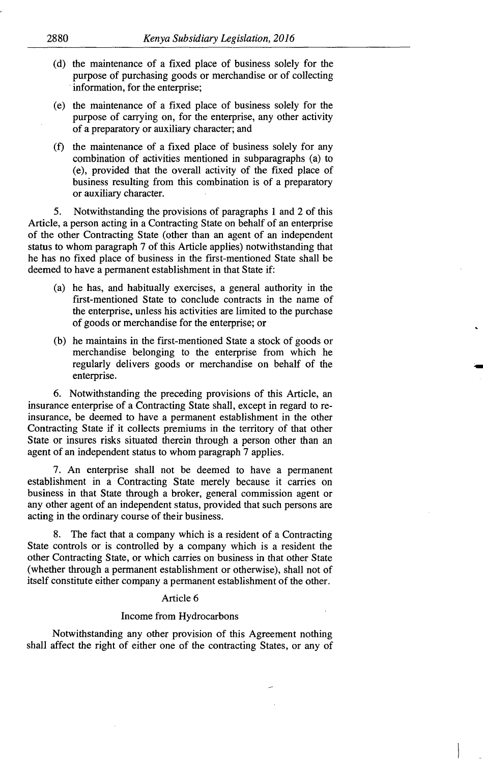- $(d)$  the maintenance of a fixed place of business solely for the purpose of purchasing goods or merchandise or of collecting information, for the enterprise;
- (e) the maintenance of a fixed place of business solely for the purpose of carrying on, for the enterprise, any other activity of a preparatory or auxiliary character; and
- $(t)$  the maintenance of a fixed place of business solely for any combination of activities mentioned in subparagraphs (a) to (e), provided that the overall activity of the fixed place of business resulting from this combination is of a preparatory or auxiliary character.

*5.* Notwithstanding the provisions of paragraphs 1 and 2 of this Article, a person acting in a Contracting State on behalf of an enterprise of the other Contracting State (other than an agent of an independent status to whom paragraph 7 of this Article applies) notwithstanding that he has no fixed place of business in the first-mentioned State shall be deemed to have a permanent establishment in that State if:

- he has, and habitually exercises, a general authority in the first-mentioned State to conclude contracts in the name of the enterprise, unless his activities are limited to the purchase of goods or merchandise for the enterprise; or
- (b) he maintains in the first-mentioned State a stock of goods or merchandise belonging to the enterprise from which he regularly delivers goods or merchandise on behalf of the enterprise.

6. Notwithstanding the preceding provisions of this Article, an insurance enterprise of a Contracting State shall, except in regard to reinsurance, be deemed to have a permanent establishment in the other Contracting State if it collects premiums in the territory of that other State or insures risks situated therein through a person other than an agent of an independent status to whom paragraph 7 applies.

7. An enterprise shall not be deemed to have a permanent establishment in a Contracting State merely because it carries on business in that State through a broker, general commission agent or any other agent of an independent status, provided that such persons are acting in the ordinary course of their business.

The fact that a company which is a resident of a Contracting State controls or is controlled by a company which is a resident the other Contracting State, or which carries on business in that other State (whether through a permanent establishment or otherwise), shall not of itself constitute either company a permanent establishment of the other.

### Article 6

#### Income from Hydrocarbons

Notwithstanding any other provision of this Agreement nothing shall affect the right of either one of the contracting States, or any of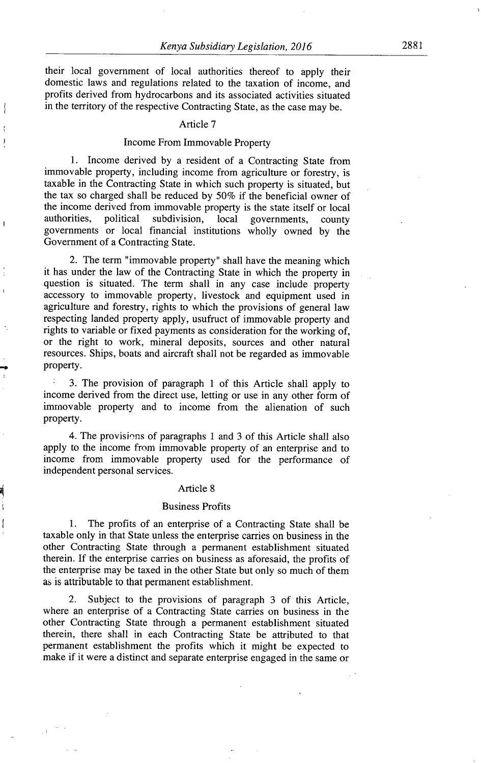their local government of local authorities thereof to apply their domestic laws and regulations related to the taxation of income, and profits derived from hydrocarbons and its associated activities situated in the territory of the respective Contracting State, as the case may be.

#### Article 7

#### Income From Immovable Property

 $\int$ 

 $\mathfrak{g}$ 

Income derived by a resident of a Contracting State from immovable property, including income from agriculture or forestry, is taxable in the Contracting State in which such property is situated, but the tax so charged shall be reduced by *50%* if the beneficial owner of the income derived from immovable property is the state itself or local authorities, political subdivision, local governments, county governments or local financial institutions wholly owned by the Government of a Contracting State.

2. The term "immovable property" shall have the meaning which it has under the law of the Contracting State in which the property in question is situated. The term shall in any case include property accessory to immovable property, livestock and equipment used in agriculture and forestry, rights to which the provisions of general law respecting landed property apply, usufruct of immovable property and rights to variable or fixed payments as consideration for the working of, or the right to work, mineral deposits, sources and other natural resources. Ships, boats and aircraft shall not be regarded as immovable property.

• 3. The provision of paragraph 1 of this Article shall apply to income derived from the direct use, letting or use in any other form of immovable property and to income from the alienation of such property.

4. The provisions of paragraphs 1 and 3 of this Article shall also apply to the income from immovable property of an enterprise and to income from immovable property used for the performance of independent personal services.

#### Article *8*

#### Business Profits

 $1.$ The profits of an enterprise of a Contracting State shall be taxable only in that State unless the enterprise carries on business in the other Contracting State through a permanent establishment situated therein. If the enterprise carries on business as aforesaid, the profits of the enterprise may be taxed in the other State but only so much of them as is attributable to that permanent establishment.

 $2.$ Subject to the provisions of paragraph 3 of this Article, where an enterprise of a Contracting State carries on business in the other Contracting State through a permanent establishment situated therein, there shall in each Contracting State be attributed to that permanent establishment the profits which it might be expected to make if it were a distinct and separate enterprise engaged in the same or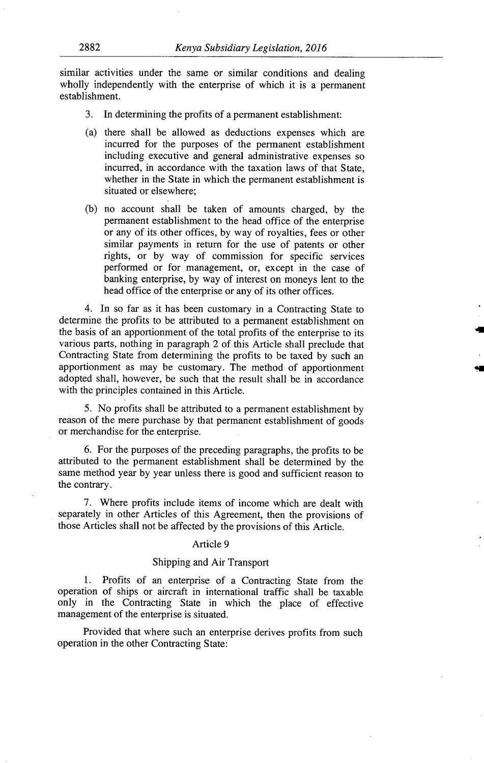similar activities under the same or similar conditions and dealing wholly independently with the enterprise of which it is a permanent establishment.

- 3. In determining the profits of a permanent establishment:
- (a) there shall be allowed as deductions expenses which are incurred for the purposes of the permanent establishment including executive and general administrative expenses so incurred, in accordance with the taxation laws of that State, whether in the State in which the permanent establishment is situated or elsewhere;
- no account shall be taken of amounts charged, by the permanent establishment to the head office of the enterprise or any of its other offices, by way of royalties, fees or other similar payments in return for the use of patents or other rights, or by way of commission for specific services performed or for management, or, except in the case of banking enterprise, by way of interest on moneys lent to the head office of the enterprise or any of its other offices.

4. In so far as it has been customary in a Contracting State to determine the profits to be attributed to a permanent establishment on the basis of an apportionment of the total profits of the enterprise to its various parts, nothing in paragraph 2 of this Article shall preclude that Contracting State from determining the profits to be taxed by such an apportionment as may be customary. The method of apportionment adopted shall, however, be such that the result shall be in accordance with the principles contained in this Article.

*5.* No profits shall be attributed to a permanent establishment by reason of the mere purchase by that permanent establishment of goods or merchandise for the enterprise.

6. For the purposes of the preceding paragraphs, the profits to be attributed to the permanent establishment shall be determined by the same method year by year unless there is good and sufficient reason to the contrary.

7. Where profits include items of income which are dealt with separately in other Articles of this Agreement, then the provisions of those Articles shall not be affected by the provisions of this Article.

# Article 9

# Shipping and Air Transport

1. Profits of an enterprise of a Contracting State from the operation of ships or aircraft in international traffic shall be taxable only in the Contracting State in which the place of effective management of the enterprise is situated.

Provided that where such an enterprise derives profits from such operation in the other Contracting State: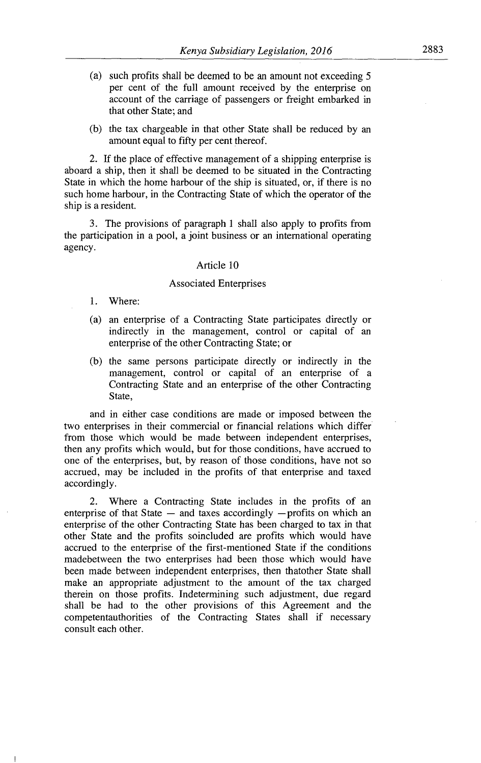- such profits shall be deemed to be an amount not exceeding *5*  per cent of the full amount received by the enterprise on account of the carriage of passengers or freight embarked in that other State; and
- (b) the tax chargeable in that other State shall be reduced by an amount equal to fifty per cent thereof.

2. If the place of effective management of a shipping enterprise is aboard a ship, then it shall be deemed to be situated in the Contracting State in which the home harbour of the ship is situated, or, if there is no such home harbour, in the Contracting State of which the operator of the ship is a resident.

3. The provisions of paragraph 1 shall also apply to profits from the participation in a pool, a joint business or an international operating agency.

### Article 10

#### Associated Enterprises

- 1. Where:
- an enterprise of a Contracting State participates directly or indirectly in the management, control or capital of an enterprise of the other Contracting State; or
- (b) the same persons participate directly or indirectly in the management, control or capital of an enterprise of a Contracting State and an enterprise of the other Contracting State,

and in either case conditions are made or imposed between the two enterprises in their commercial or financial relations which differ from those which would be made between independent enterprises, then any profits which would, but for those conditions, have accrued to one of the enterprises, but, by reason of those conditions, have not so accrued, may be included in the profits of that enterprise and taxed accordingly.

2. Where a Contracting State includes in the profits of an enterprise of that State  $-$  and taxes accordingly  $-$ profits on which an enterprise of the other Contracting State has been charged to tax in that other State and the profits soincluded are profits which would have accrued to the enterprise of the first-mentioned State if the conditions madebetween the two enterprises had been those which would have been made between independent enterprises, then thatother State shall make an appropriate adjustment to the amount of the tax charged therein on those profits. Indetermining such adjustment, due regard shall be had to the other provisions of this Agreement and the competentauthorities of the Contracting States shall if necessary consult each other.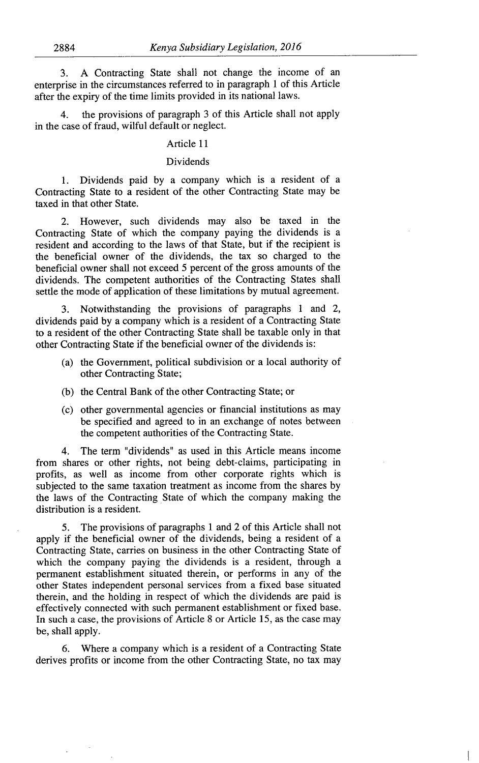A Contracting State shall not change the income of an 3. enterprise in the circumstances referred to in paragraph 1 of this Article after the expiry of the time limits provided in its national laws.

the provisions of paragraph 3 of this Article shall not apply 4. in the case of fraud, wilful default or neglect.

### Article 11

### Dividends

1. Dividends paid by a company which is a resident of a Contracting State to a resident of the other Contracting State may be taxed in that other State.

2. However, such dividends may also be taxed in the Contracting State of which the company paying the dividends is a resident and according to the laws of that State, but if the recipient is the beneficial owner of the dividends, the tax so charged to the beneficial owner shall not exceed 5 percent of the gross amounts of the dividends. The competent authorities of the Contracting States shall settle the mode of application of these limitations by mutual agreement.

3. Notwithstanding the provisions of paragraphs 1 and 2, dividends paid by a company which is a resident of a Contracting State to a resident of the other Contracting State shall be taxable only in that other Contracting State if the beneficial owner of the dividends is:

- (a) the Government, political subdivision or a local authority of other Contracting State;
- (b) the Central Bank of the other Contracting State; or
- (c) other governmental agencies or financial institutions as may be specified and agreed to in an exchange of notes between the competent authorities of the Contracting State.

4. The term "dividends" as used in this Article means income from shares or other rights, not being debt-claims, participating in profits, as well as income from other corporate rights which is subjected to the same taxation treatment as income from the shares by the laws of the Contracting State of which the company making the distribution is a resident.

The provisions of paragraphs 1 and 2 of this Article shall not apply if the beneficial owner of the dividends, being a resident of a Contracting State, carries on business in the other Contracting State of which the company paying the dividends is a resident, through a permanent establishment situated therein, or performs in any of the other States independent personal services from a fixed base situated therein, and the holding in respect of which the dividends are paid is effectively connected with such permanent establishment or fixed base. In such a case, the provisions of Article 8 or Article 15, as the case may be, shall apply.

6. Where a company which is a resident of a Contracting State derives profits or income from the other Contracting State, no tax may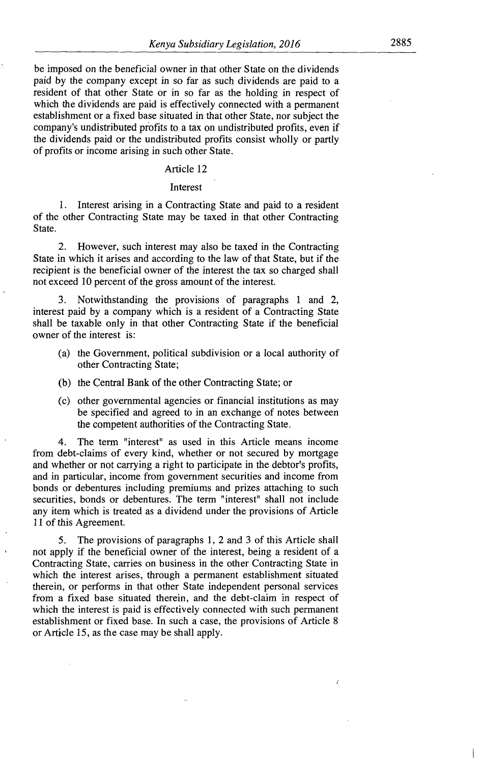be imposed on the beneficial owner in that other State on the dividends paid by the company except in so far as such dividends are paid to a resident of that other State or in so far as the holding in respect of which the dividends are paid is effectively connected with a permanent establishment or a fixed base situated in that other State, nor subject the company's undistributed profits to a tax on undistributed profits, even if the dividends paid or the undistributed profits consist wholly or partly of profits or income arising in such other State.

### Article *12*

#### Interest

1. Interest arising in a Contracting State and paid to a resident of the other Contracting State may be taxed in that other Contracting State.

*2.* However, such interest may also be taxed in the Contracting State in which it arises and according to the law of that State, but if the recipient is the beneficial owner of the interest the tax so charged shall not exceed 10 percent of the gross amount of the interest.

3. Notwithstanding the provisions of paragraphs 1 and *2,*  interest paid by a company which is a resident of a Contracting State shall be taxable only in that other Contracting State if the beneficial owner of the interest is:

- (a) the Government, political subdivision or a local authority of other Contracting State;
- (b) the Central Bank of the other Contracting State; or
- (c) other governmental agencies or financial institutions as may be specified and agreed to in an exchange of notes between the competent authorities of the Contracting State.

4. The term "interest" as used in this Article means income from debt-claims of every kind, whether or not secured by mortgage and whether or not carrying a right to participate in the debtor's profits, and in particular, income from government securities and income from bonds or debentures including premiums and prizes attaching to such securities, bonds or debentures. The term "interest" shall not include any item which is treated as a dividend under the provisions of Article 11 of this Agreement.

*5.* The provisions of paragraphs 1, *2* and 3 of this Article shall not apply if the beneficial owner of the interest, being a resident of a Contracting State, carries on business in the other Contracting State in which the interest arises, through a permanent establishment situated therein, or performs in that other State independent personal services from a fixed base situated therein, and the debt-claim in respect of which the interest is paid is effectively connected with such permanent establishment or fixed base. In such a case, the provisions of Article *8*  or Article *15,* as the case may be shall apply.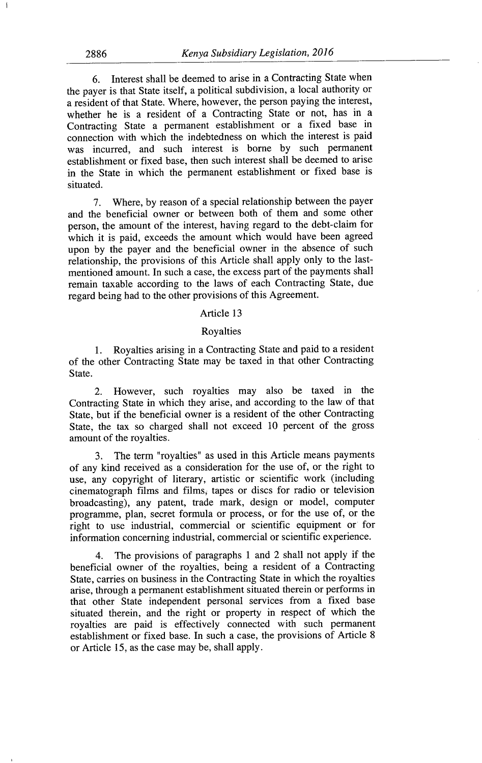Interest shall be deemed to arise in a Contracting State when the payer is that State itself, a political subdivision, a local authority or a resident of that State. Where, however, the person paying the interest, whether he is a resident of a Contracting State or not, has in a Contracting State a permanent establishment or a fixed base in connection with which the indebtedness on which the interest is paid was incurred, and such interest is borne by such permanent establishment or fixed base, then such interest shall be deemed to arise in the State in which the permanent establishment or fixed base is situated.

 $7.$ Where, by reason of a special relationship between the payer and the beneficial owner or between both of them and some other person, the amount of the interest, having regard to the debt-claim for which it is paid, exceeds the amount which would have been agreed upon by the payer and the beneficial owner in the absence of such relationship, the provisions of this Article shall apply only to the lastmentioned amount. In such a case, the excess part of the payments shall remain taxable according to the laws of each Contracting State, due regard being had to the other provisions of this Agreement.

# Article 13

### Royalties

I. Royalties arising in a Contracting State and paid to a resident of the other Contracting State may be taxed in that other Contracting State.

However, such royalties may also be taxed in the 2. Contracting State in which they arise, and according to the law of that State, but if the beneficial owner is a resident of the other Contracting State, the tax so charged shall not exceed 10 percent of the gross amount of the royalties.

The term 'royalties" as used in this Article means payments  $3<sub>1</sub>$ of any kind received as a consideration for the use of, or the right to use, any copyright of literary, artistic or scientific work (including cinematograph films and films, tapes or discs for radio or television broadcasting), any patent, trade mark, design or model, computer programme, plan, secret formula or process, or for the use of, or the right to use industrial, commercial or scientific equipment or for information concerning industrial, commercial or scientific experience.

The provisions of paragraphs 1 and 2 shall not apply if the 4. beneficial owner of the royalties, being a resident of a Contracting State, carries on business in the Contracting State in which the royalties arise, through a permanent establishment situated therein or performs in that other State independent personal services from a fixed base situated therein, and the right or property in respect of which the royalties are paid is effectively connected with such permanent establishment or fixed base. In such a case, the provisions of Article 8 or Article *15,* as the case may be, shall apply.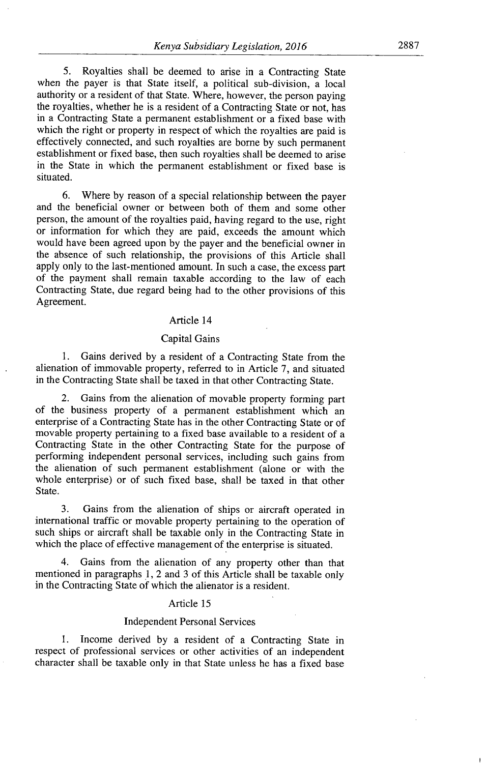Royalties shall be deemed to arise in a Contracting State 5. when the payer is that State itself, a political sub-division, a local authority or a resident of that State. Where, however, the person paying the royalties, whether he is a resident of a Contracting State or not, has in a Contracting State a permanent establishment or a fixed base with which the right or property in respect of which the royalties are paid is effectively connected, and such royalties are borne by such permanent establishment or fixed base, then such royalties shall be deemed to arise in the State in which the permanent establishment or fixed base is situated.

6. Where by reason of a special relationship between the payer and the beneficial owner or between both of them and some other person, the amount of the royalties paid, having regard to the use, right or information for which they are paid, exceeds the amount which would have been agreed upon by the payer and the beneficial owner in the absence of such relationship, the provisions of this Article shall apply only to the last-mentioned amount. In such a case, the excess part of the payment shall remain taxable according to the law of each Contracting State, due regard being had to the other provisions of this Agreement.

# Article 14

### Capital Gains

Gains derived by a resident of a Contracting State from the 1. alienation of immovable property, referred to in Article 7, and situated in the Contracting State shall be taxed in that other Contracting State.

2. Gains from the alienation of movable property forming part of the business property of a permanent establishment which an enterprise of a Contracting State has in the other Contracting State or of movable property pertaining to a fixed base available to a resident of a Contracting State in the other Contracting State for the purpose of performing independent personal services, including such gains from the alienation of such permanent establishment (alone or with the whole enterprise) or of such fixed base, shall be taxed in that other State.

3. Gains from the alienation of ships or aircraft operated in international traffic or movable property pertaining to the operation of such ships or aircraft shall be taxable only in the Contracting State in which the place of effective management of the enterprise is situated.

4. Gains from the alienation of any property other than that mentioned in paragraphs 1, *2* and 3 of this Article shall be taxable only in the Contracting State of which the alienator is a resident.

### Article 15

## Independent Personal Services

1. Income derived by a resident of a Contracting State in respect of professional services or other activities of an independent character shall be taxable only in that State unless he has a fixed base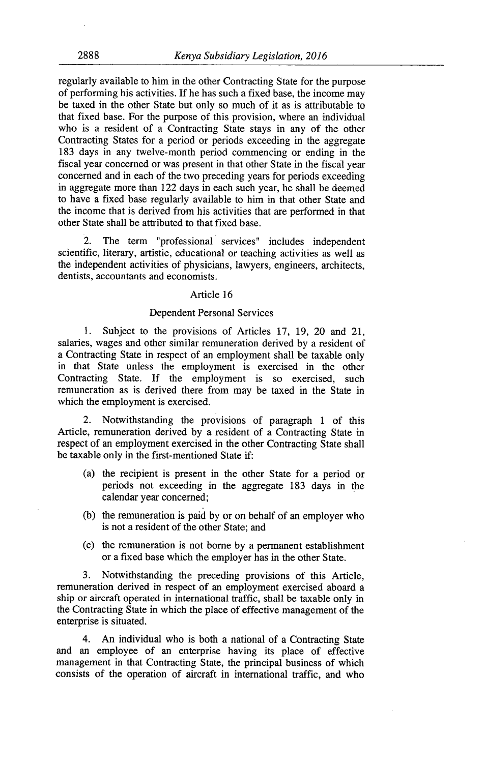regularly available to him in the other Contracting State for the purpose of performing his activities. If he has such a fixed base, the income may be taxed in the other State but only so much of it as is attributable to that fixed base. For the purpose of this provision, where an individual who is a resident of a Contracting State stays in any of the other Contracting States for a period or periods exceeding in the aggregate 183 days in any twelve-month period commencing or ending in the fiscal year concerned or was present in that other State in the fiscal year concerned and in each of the two preceding years for periods exceeding in aggregate more than 122 days in each such year, he shall be deemed to have a fixed base regularly available to him in that other State and the income that is derived from his activities that are performed in that other State shall be attributed to that fixed base.

2. The term "professional services" includes independent scientific, literary, artistic, educational or teaching activities as well as the independent activities of physicians, lawyers, engineers, architects, dentists, accountants and economists.

# Article 16

## Dependent Personal Services

1. Subject to the provisions of Articles 17, 19, 20 and 21, salaries, wages and other similar remuneration derived by a resident of a Contracting State in respect of an employment shall be taxable only in that State unless the employment is exercised in the other Contracting State. If the employment is so exercised, such remuneration as is derived there from may be taxed in the State in which the employment is exercised.

2. Notwithstanding the provisions of paragraph 1 of this Article, remuneration derived by a resident of a Contracting State in respect of an employment exercised in the other Contracting State shall be taxable only in the first-mentioned State if:

- (a) the recipient is present in the other State for a period or periods not exceeding in the aggregate 183 days in the calendar year concerned;
- $(b)$  the remuneration is paid by or on behalf of an employer who is not a resident of the other State; and
- $(c)$  the remuneration is not borne by a permanent establishment or a fixed base which the employer has in the other State.

3. Notwithstanding the preceding provisions of this Article, remuneration derived in respect of an employment exercised aboard a ship or aircraft operated in international traffic, shall be taxable only in the Contracting State in which the place of effective management of the enterprise is situated.

4. An individual who is both a national of a Contracting State and an employee of an enterprise having its place of effective management in that Contracting State, the principal business of which consists of the operation of aircraft in international traffic, and who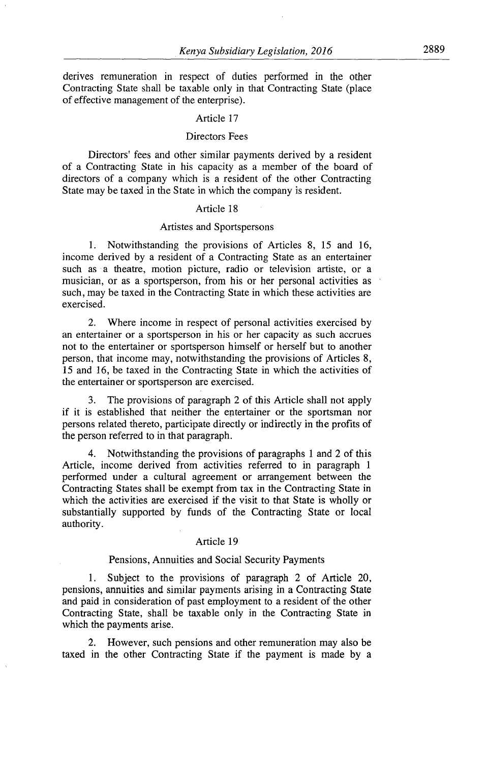derives remuneration in respect of duties performed in the other Contracting State shall be taxable only in that Contracting State (place of effective management of the enterprise).

## Article 17

# Directors Fees

Directors' fees and other similar payments derived by a resident of a Contracting State in his capacity as a member of the board of directors of a company which is a resident of the other Contracting State may be taxed in the State in which the company is resident.

# Article *18*

#### Artistes and Sportspersons

Notwithstanding the provisions of Articles *8, 15* and 16, income derived by a resident of a Contracting State as an entertainer such as a theatre, motion picture, radio or television artiste, or a musician, or as a sportsperson, from his or her personal activities as such, may be taxed in the Contracting State in which these activities are exercised.

Where income in respect of personal activities exercised by  $2.$ an entertainer or a sportsperson in his or her capacity as such accrues not to the entertainer or sportsperson himself or herself but to another person, that income may, notwithstanding the provisions of Articles *8, 15* and 16, be taxed in the Contracting State in which the activities of the entertainer or sportsperson are exercised.

3. The provisions of paragraph *2* of this Article shall not apply if it is established that neither the entertainer or the sportsman nor persons related thereto, participate directly or indirectly in the profits of the person referred to in that paragraph.

Notwithstanding the provisions of paragraphs 1 and *2* of this 4. Article, income derived from activities referred to in paragraph 1 performed under a cultural agreement or arrangement between the Contracting States shall be exempt from tax in the Contracting State in which the activities are exercised if the visit to that State is wholly or substantially supported by funds of the Contracting State or local authority.

#### Article *19*

### Pensions, Annuities and Social Security Payments

Subject to the provisions of paragraph *2* of Article *20,*  1. pensions, annuities and similar payments arising in a Contracting State and paid in consideration of past employment to a resident of the other Contracting State, shall be taxable only in the Contracting State in which the payments arise.

2. However, such pensions and other remuneration may also be taxed in the other Contracting State if the payment is made by a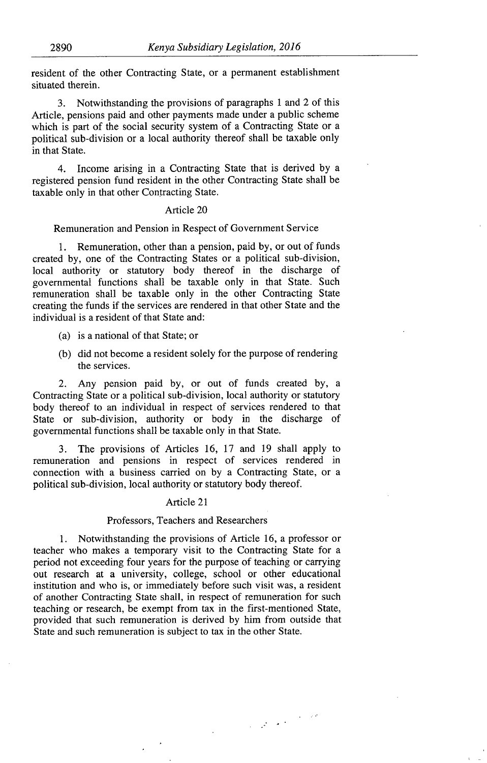resident of the other Contracting State, or a permanent establishment situated therein.

Notwithstanding the provisions of paragraphs 1 and 2 of this 3. Article, pensions paid and other payments made under a public scheme which is part of the social security system of a Contracting State or a political sub-division or a local authority thereof shall be taxable only in that State.

4. Income arising in a Contracting State that is derived by a registered pension fund resident in the other Contracting State shall be taxable only in that other Contracting State.

# Article 20

Remuneration and Pension in Respect of Government Service

Remuneration, other than a pension, paid by, or out of funds created by, one of the Contracting States or a political sub-division, local authority or statutory body thereof in the discharge of governmental functions shall be taxable only in that State. Such remuneration shall be taxable only in the other Contracting State creating the funds if the services are rendered in that other State and the individual is a resident of that State and:

- (a) is a national of that State; or
- (b) did not become a resident solely for the purpose of rendering the services.

2. Any pension paid by, or out of funds created by, a Contracting State or a political sub-division, local authority or statutory body thereof to an individual in respect of services rendered to that State or sub-division, authority or body in the discharge of governmental functions shall be taxable only in that State.

3. The provisions of Articles 16, 17 and 19 shall apply to remuneration and pensions in respect of services rendered in connection with a business carried on by a Contracting State, or a political sub-division, local authority or statutory body thereof.

#### Article 21

## Professors, Teachers and Researchers

1. Notwithstanding the provisions of Article 16, a professor or teacher who makes a temporary visit to the Contracting State for a period not exceeding four years for the purpose of teaching or carrying out research at a university, college, school or other educational institution and who is, or immediately before such visit was, a resident of another Contracting State shall, in respect of remuneration for such teaching or research, be exempt from tax in the first-mentioned State, provided that such remuneration is derived by him from outside that State and such remuneration is subject to tax in the other State.

 $\label{eq:2} \frac{1}{2\pi}\frac{1}{\sqrt{2}}\frac{1}{\sqrt{2}}\frac{1}{\sqrt{2}}\left(\frac{1}{\sqrt{2}}\right)^{1/2}\frac{1}{\sqrt{2}}\frac{\sqrt{2}}{\sqrt{2}}\,.$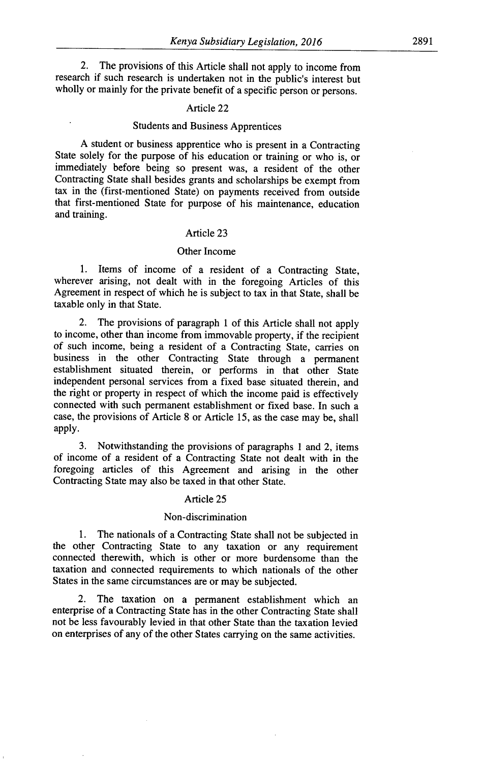*2.* The provisions of this Article shall not apply to income from research if such research is undertaken not in the public's interest but wholly or mainly for the private benefit of a specific person or persons.

#### Article *22*

# Students and Business Apprentices

A student or business apprentice who is present in a Contracting State solely for the purpose of his education or training or who is, or immediately before being so present was, a resident of the other Contracting State shall besides grants and scholarships be exempt from tax in the (first-mentioned State) on payments received from outside that first-mentioned State for purpose of his maintenance, education and training.

# Article *23*

# Other Income

 $1.$ Items of income of a resident of a Contracting State, wherever arising, not dealt with in the foregoing Articles of this Agreement in respect of which he is subject to tax in that State, shall be taxable only in that State.

 $2.$ The provisions of paragraph 1 of this Article shall not apply to income, other than income from immovable property, if the recipient of such income, being a resident of a Contracting State, carries on business in the other Contracting State through a permanent establishment situated therein, or performs in that other State independent personal services from a fixed base situated therein, and the right or property in respect of which the income paid is effectively connected with such permanent establishment or fixed base. In such a case, the provisions of Article 8 or Article *15,* as the case may be, shall apply.

3. Notwithstanding the provisions of paragraphs 1 and *2,* items of income of a resident of a Contracting State not dealt with in the foregoing articles of this Agreement and arising in the other Contracting State may also be taxed in that other State.

#### Article *25*

### Non-discrimination

 $1.$ The nationals of a Contracting State shall not be subjected in the other Contracting State to any taxation or any requirement connected therewith, which is other or more burdensome than the taxation and connected requirements to which nationals of the other States in the same circumstances are or may be subjected.

The taxation on a permanent establishment which an  $2.$ enterprise of a Contracting State has in the other Contracting State shall not be less favourably levied in that other State than the taxation levied on enterprises of any of the other States carrying on the same activities.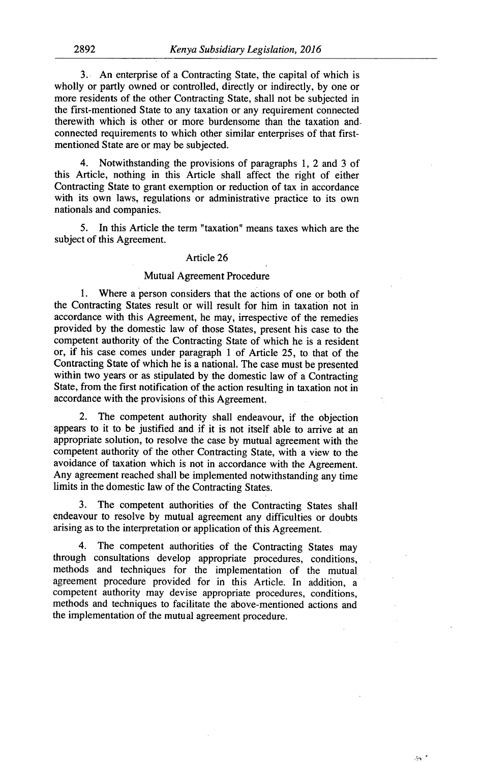3.. An enterprise of a Contracting State, the capital of which is wholly or partly owned or controlled, directly or indirectly, by one or more residents of the other Contracting State, shall not be subjected in the first-mentioned State to any taxation or any requirement connected therewith which is other or more burdensome than the taxation and connected requirements to which other similar enterprises of that firstmentioned State are or may be subjected.

Notwithstanding the provisions of paragraphs 1, 2 and 3 of this Article, nothing in this Article shall affect the right of either Contracting State to grant exemption or reduction of tax in accordance with its own laws, regulations or administrative practice to its own nationals and companies.

5. In this Article the term "taxation" means taxes which are the subject of this Agreement.

# Article 26

### Mutual Agreement Procedure

1. Where a person considers that the actions of one or both of the Contracting States result or will result for him in taxation not in accordance with this Agreement, he may, irrespective of the remedies provided by the domestic law of those States, present his case to the competent authority of the Contracting State of which he is a resident or, if his case comes under paragraph 1 of Article *25,* to that of the Contracting State of which he is a national. The case must be presented within two years or as stipulated by the domestic law of a Contracting State, from the first notification of the action resulting in taxation not in accordance with the provisions of this Agreement.

 $2.$ The competent authority shall endeavour, if the objection appears to it to be justified and if it is not itself able to arrive at an appropriate solution, to resolve the case by mutual agreement with the competent authority of the other Contracting State, with a view to the avoidance of taxation which is not in accordance with the Agreement. Any agreement reached shall be implemented notwithstanding any time limits in the domestic law of the Contracting States.

The competent authorities of the Contracting States shall 3. endeavour to resolve by mutual agreement any difficulties or doubts arising as to the interpretation or application of this Agreement.

 $\mathbf{4}$ The competent authorities of the Contracting States may through consultations develop appropriate procedures, conditions, methods and techniques for the implementation of the mutual agreement procedure provided for in this Article. In addition, a competent authority may devise appropriate procedures, conditions, methods and techniques to facilitate the above-mentioned actions and the implementation of the mutual agreement procedure.

 $\sim$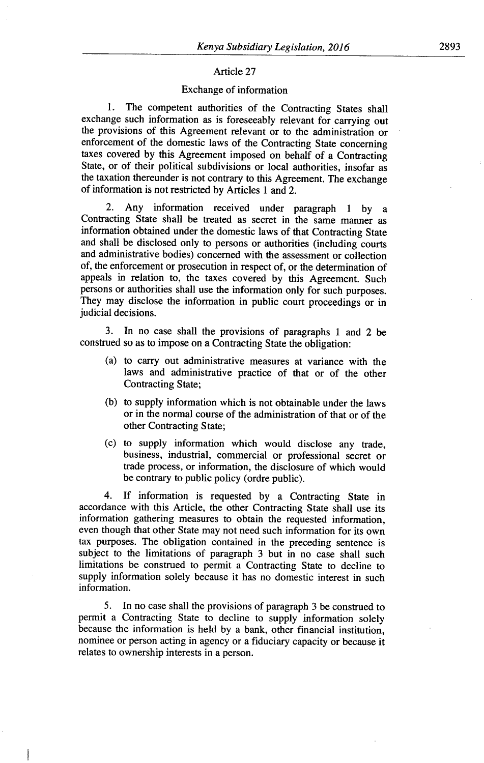# Article *27*

# Exchange of information

I. The competent authorities of the Contracting States shall exchange such information as is foreseeably relevant for carrying out the provisions of this Agreement relevant or to the administration or enforcement of the domestic laws of the Contracting State concerning taxes covered by this Agreement imposed on behalf of a Contracting State, or of their political subdivisions or local authorities, insofar as the taxation thereunder is not contrary to this Agreement. The exchange of information is not restricted by Articles 1 and *2.* 

2. Any information received under paragraph 1 by a Contracting State shall be treated as secret in the same manner as information obtained under the domestic laws of that Contracting State and shall be disclosed only to persons or authorities (including courts and administrative bodies) concerned with the assessment or collection of, the enforcement or prosecution in respect of, or the determination of appeals in relation to, the taxes covered by this Agreement. Such persons or authorities shall use the information only for such purposes. They may disclose the information in public court proceedings or in judicial decisions.

*3.* In no case shall the provisions of paragraphs 1 and *2* be construed so as to impose on a Contracting State the obligation:

- (a) to carry out administrative measures at variance with the laws and administrative practice of that or of the other Contracting State;
- $(b)$  to supply information which is not obtainable under the laws or in the normal course of the administration of that or of the other Contracting State;
- (c) to supply information which would disclose any trade, business, industrial, commercial or professional secret or trade process, or information, the disclosure of which would be contrary to public policy (ordre public).

4. If information is requested by a Contracting State in accordance with this Article, the other Contracting State shall use its information gathering measures to obtain the requested information, even though that other State may not need such information for its own tax purposes. The obligation contained in the preceding sentence is subject to the limitations of paragraph *3* but in no case shall such limitations be construed to permit a Contracting State to decline to supply information solely because it has no domestic interest in such information.

*5.* In no case shall the provisions of paragraph *3* be construed to permit a Contracting State to decline to supply information solely because the information is held by a bank, other financial institution, nominee or person acting in agency or a fiduciary capacity or because it relates to ownership interests in a person.